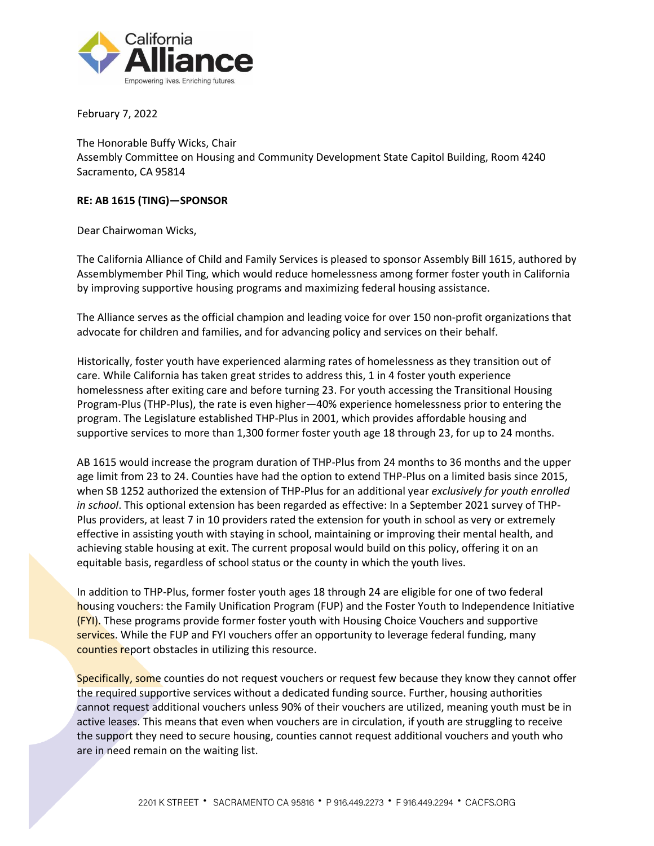

February 7, 2022

The Honorable Buffy Wicks, Chair Assembly Committee on Housing and Community Development State Capitol Building, Room 4240 Sacramento, CA 95814

## **RE: AB 1615 (TING)—SPONSOR**

Dear Chairwoman Wicks,

The California Alliance of Child and Family Services is pleased to sponsor Assembly Bill 1615, authored by Assemblymember Phil Ting, which would reduce homelessness among former foster youth in California by improving supportive housing programs and maximizing federal housing assistance.

The Alliance serves as the official champion and leading voice for over 150 non-profit organizations that advocate for children and families, and for advancing policy and services on their behalf.

Historically, foster youth have experienced alarming rates of homelessness as they transition out of care. While California has taken great strides to address this, 1 in 4 foster youth experience homelessness after exiting care and before turning 23. For youth accessing the Transitional Housing Program-Plus (THP-Plus), the rate is even higher—40% experience homelessness prior to entering the program. The Legislature established THP-Plus in 2001, which provides affordable housing and supportive services to more than 1,300 former foster youth age 18 through 23, for up to 24 months.

AB 1615 would increase the program duration of THP-Plus from 24 months to 36 months and the upper age limit from 23 to 24. Counties have had the option to extend THP-Plus on a limited basis since 2015, when SB 1252 authorized the extension of THP-Plus for an additional year *exclusively for youth enrolled in school*. This optional extension has been regarded as effective: In a September 2021 survey of THP-Plus providers, at least 7 in 10 providers rated the extension for youth in school as very or extremely effective in assisting youth with staying in school, maintaining or improving their mental health, and achieving stable housing at exit. The current proposal would build on this policy, offering it on an equitable basis, regardless of school status or the county in which the youth lives.

In addition to THP-Plus, former foster youth ages 18 through 24 are eligible for one of two federal housing vouchers: the Family Unification Program (FUP) and the Foster Youth to Independence Initiative (FYI). These programs provide former foster youth with Housing Choice Vouchers and supportive services. While the FUP and FYI vouchers offer an opportunity to leverage federal funding, many counties report obstacles in utilizing this resource.

Specifically, some counties do not request vouchers or request few because they know they cannot offer the required supportive services without a dedicated funding source. Further, housing authorities cannot request additional vouchers unless 90% of their vouchers are utilized, meaning youth must be in active leases. This means that even when vouchers are in circulation, if youth are struggling to receive the support they need to secure housing, counties cannot request additional vouchers and youth who are in need remain on the waiting list.